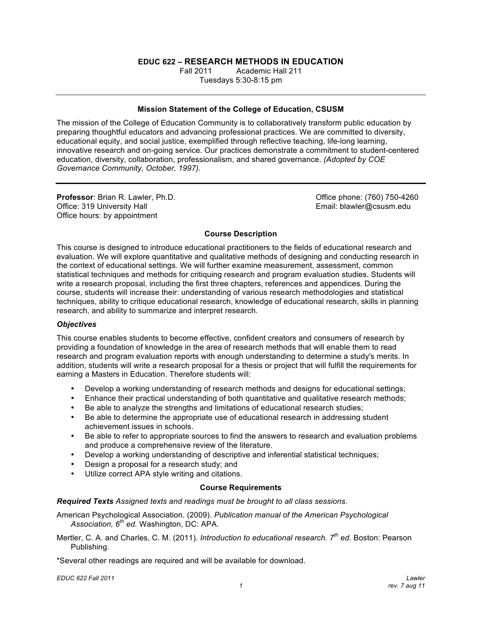# **EDUC 622 – RESEARCH METHODS IN EDUCATION**

**Fall 2011**  Tuesdays 5:30-8:15 pm Fall 2011 Academic Hall 211

#### **Mission Statement of the College of Education, CSUSM**

 The mission of the College of Education Community is to collaboratively transform public education by preparing thoughtful educators and advancing professional practices. We are committed to diversity, educational equity, and social justice, exemplified through reflective teaching, life-long learning, innovative research and on-going service. Our practices demonstrate a commitment to student-centered education, diversity, collaboration, professionalism, and shared governance. *(Adopted by COE Governance Community, October, 1997).* 

Office: 319 University Hall Office hours: by appointment **Professor: Brian R. Lawler, Ph.D.** 

Office phone: (760) 750-4260 Email: blawler@csusm.edu

#### **Course Description**

 This course is designed to introduce educational practitioners to the fields of educational research and evaluation. We will explore quantitative and qualitative methods of designing and conducting research in statistical techniques and methods for critiquing research and program evaluation studies. Students will write a research proposal, including the first three chapters, references and appendices. During the course, students will increase their: understanding of various research methodologies and statistical techniques, ability to critique educational research, knowledge of educational research, skills in planning research, and ability to summarize and interpret research. the context of educational settings. We will further examine measurement, assessment, common

#### *Objectives*

 This course enables students to become effective, confident creators and consumers of research by providing a foundation of knowledge in the area of research methods that will enable them to read research and program evaluation reports with enough understanding to determine a study's merits. In addition, students will write a research proposal for a thesis or project that will fulfill the requirements for earning a Masters in Education. Therefore students will:

- Develop a working understanding of research methods and designs for educational settings;
- Enhance their practical understanding of both quantitative and qualitative research methods;
- Be able to analyze the strengths and limitations of educational research studies;
- Be able to determine the appropriate use of educational research in addressing student achievement issues in schools.
- Be able to refer to appropriate sources to find the answers to research and evaluation problems and produce a comprehensive review of the literature.
- Develop a working understanding of descriptive and inferential statistical techniques;
- • Design a proposal for a research study; and
- • Utilize correct APA style writing and citations.

#### **Course Requirements**

 *Required Texts Assigned texts and readings must be brought to all class sessions.* 

 American Psychological Association*.* (2009). *Publication manual of the American Psychological Association, 6th ed.* Washington, DC: APA.

 Mertler, C. A. and Charles, C. M. (2011). *Introduction to educational research. 7th ed.* Boston: Pearson Publishing.

\*Several other readings are required and will be available for download.

 *EDUC 622 Fall 2011 Lawler*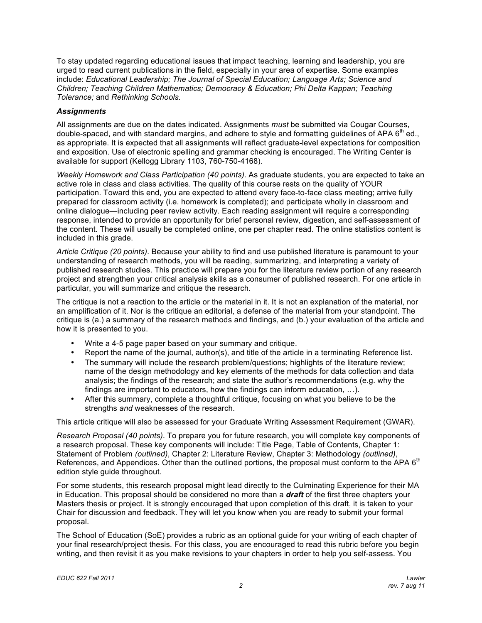To stay updated regarding educational issues that impact teaching, learning and leadership, you are  include: *Educational Leadership; The Journal of Special Education; Language Arts; Science and Children; Teaching Children Mathematics; Democracy & Education; Phi Delta Kappan; Teaching Tolerance;* and *Rethinking Schools.*  urged to read current publications in the field, especially in your area of expertise. Some examples

## *Assignments*

 All assignments are due on the dates indicated. Assignments *must* be submitted via Cougar Courses, double-spaced, and with standard margins, and adhere to style and formatting guidelines of APA  $6<sup>th</sup>$  ed., as appropriate. It is expected that all assignments will reflect graduate-level expectations for composition and exposition. Use of electronic spelling and grammar checking is encouraged. The Writing Center is available for support (Kellogg Library 1103, 760-750-4168).

 *Weekly Homework and Class Participation (40 points)*. As graduate students, you are expected to take an active role in class and class activities. The quality of this course rests on the quality of YOUR participation. Toward this end, you are expected to attend every face-to-face class meeting; arrive fully prepared for classroom activity (i.e. homework is completed); and participate wholly in classroom and online dialogue—including peer review activity. Each reading assignment will require a corresponding response, intended to provide an opportunity for brief personal review, digestion, and self-assessment of the content. These will usually be completed online, one per chapter read. The online statistics content is included in this grade.

 *Article Critique (20 points)*. Because your ability to find and use published literature is paramount to your understanding of research methods, you will be reading, summarizing, and interpreting a variety of project and strengthen your critical analysis skills as a consumer of published research. For one article in particular, you will summarize and critique the research. published research studies. This practice will prepare you for the literature review portion of any research

 The critique is not a reaction to the article or the material in it. It is not an explanation of the material, nor an amplification of it. Nor is the critique an editorial, a defense of the material from your standpoint. The critique is (a.) a summary of the research methods and findings, and (b.) your evaluation of the article and how it is presented to you.

- Write a 4-5 page paper based on your summary and critique.
- Report the name of the journal, author(s), and title of the article in a terminating Reference list.
- The summary will include the research problem/questions; highlights of the literature review; name of the design methodology and key elements of the methods for data collection and data analysis; the findings of the research; and state the author's recommendations (e.g. why the findings are important to educators, how the findings can inform education, …).
- After this summary, complete a thoughtful critique, focusing on what you believe to be the strengths *and* weaknesses of the research.

This article critique will also be assessed for your Graduate Writing Assessment Requirement (GWAR).

 *Research Proposal (40 points)*. To prepare you for future research, you will complete key components of a research proposal. These key components will include: Title Page, Table of Contents, Chapter 1: Statement of Problem *(outlined)*, Chapter 2: Literature Review, Chapter 3: Methodology *(outlined)*, References, and Appendices. Other than the outlined portions, the proposal must conform to the APA 6<sup>th</sup> edition style guide throughout.

 For some students, this research proposal might lead directly to the Culminating Experience for their MA in Education. This proposal should be considered no more than a *draft* of the first three chapters your Masters thesis or project. It is strongly encouraged that upon completion of this draft, it is taken to your Chair for discussion and feedback. They will let you know when you are ready to submit your formal proposal.

 The School of Education (SoE) provides a rubric as an optional guide for your writing of each chapter of your final research/project thesis. For this class, you are encouraged to read this rubric before you begin writing, and then revisit it as you make revisions to your chapters in order to help you self-assess. You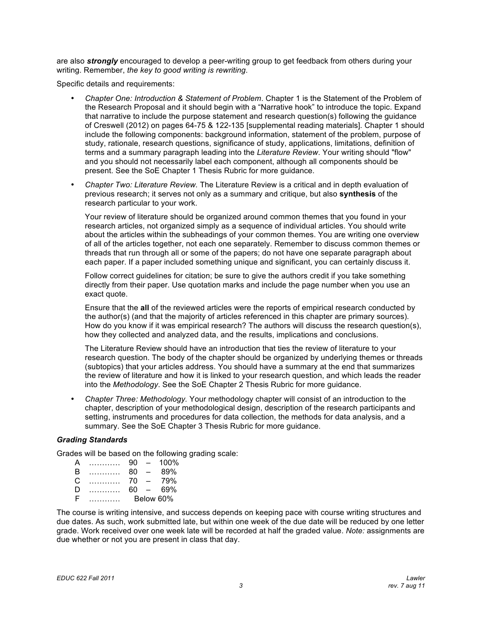are also *strongly* encouraged to develop a peer-writing group to get feedback from others during your writing. Remember, *the key to good writing is rewriting*.

Specific details and requirements:

- Chapter One: Introduction & Statement of Problem. Chapter 1 is the Statement of the Problem of the Research Proposal and it should begin with a "Narrative hook" to introduce the topic. Expand of Creswell (2012) on pages 64-75 & 122-135 [supplemental reading materials]. Chapter 1 should include the following components: background information, statement of the problem, purpose of study, rationale, research questions, significance of study, applications, limitations, definition of and you should not necessarily label each component, although all components should be present. See the SoE Chapter 1 Thesis Rubric for more guidance. that narrative to include the purpose statement and research question(s) following the guidance terms and a summary paragraph leading into the *Literature Review*. Your writing should "flow"
- Chapter Two: Literature Review. The Literature Review is a critical and in depth evaluation of previous research; it serves not only as a summary and critique, but also **synthesis** of the research particular to your work.

 Your review of literature should be organized around common themes that you found in your research articles, not organized simply as a sequence of individual articles. You should write about the articles within the subheadings of your common themes. You are writing one overview of all of the articles together, not each one separately. Remember to discuss common themes or each paper. If a paper included something unique and significant, you can certainly discuss it. threads that run through all or some of the papers; do not have one separate paragraph about

 Follow correct guidelines for citation; be sure to give the authors credit if you take something directly from their paper. Use quotation marks and include the page number when you use an exact quote.

 Ensure that the **all** of the reviewed articles were the reports of empirical research conducted by the author(s) (and that the majority of articles referenced in this chapter are primary sources). How do you know if it was empirical research? The authors will discuss the research question(s), how they collected and analyzed data, and the results, implications and conclusions.

 The Literature Review should have an introduction that ties the review of literature to your research question. The body of the chapter should be organized by underlying themes or threads (subtopics) that your articles address. You should have a summary at the end that summarizes the review of literature and how it is linked to your research question, and which leads the reader into the *Methodology*. See the SoE Chapter 2 Thesis Rubric for more guidance.

• Chapter Three: Methodology. Your methodology chapter will consist of an introduction to the summary. See the SoE Chapter 3 Thesis Rubric for more guidance. chapter, description of your methodological design, description of the research participants and setting, instruments and procedures for data collection, the methods for data analysis, and a

### *Grading Standards*

Grades will be based on the following grading scale:

| А |   | 90 | $\overline{\phantom{a}}$ | $100\%$   |
|---|---|----|--------------------------|-----------|
| B | . | 80 | $\equiv$                 | 89%       |
| C | . | 70 | $\overline{\phantom{0}}$ | 79%       |
| Ð |   | 60 | $\sim$                   | 69%       |
| н |   |    |                          | Below 60% |

 The course is writing intensive, and success depends on keeping pace with course writing structures and due dates. As such, work submitted late, but within one week of the due date will be reduced by one letter grade. Work received over one week late will be recorded at half the graded value. *Note:* assignments are due whether or not you are present in class that day.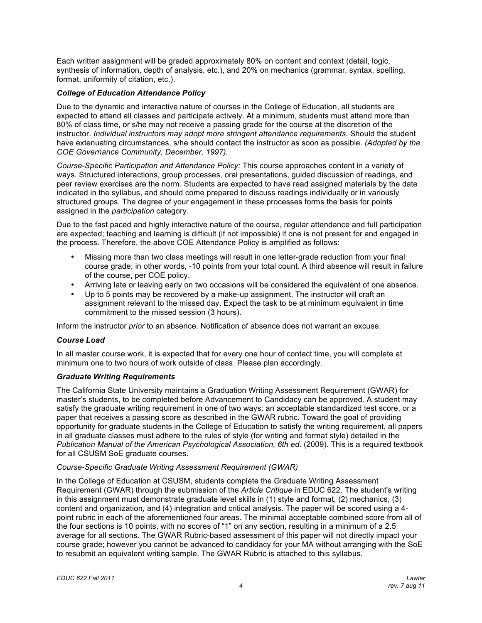Each written assignment will be graded approximately 80% on content and context (detail, logic, synthesis of information, depth of analysis, etc.), and 20% on mechanics (grammar, syntax, spelling, format, uniformity of citation, etc.).

## *College of Education Attendance Policy*

 Due to the dynamic and interactive nature of courses in the College of Education, all students are 80% of class time, or s/he may not receive a passing grade for the course at the discretion of the have extenuating circumstances, s/he should contact the instructor as soon as possible. *(Adopted by the COE Governance Community, December, 1997).*  expected to attend all classes and participate actively. At a minimum, students must attend more than instructor. *Individual instructors may adopt more stringent attendance requirements*. Should the student

 *Course-Specific Participation and Attendance Policy:* This course approaches content in a variety of ways. Structured interactions, group processes, oral presentations, guided discussion of readings, and peer review exercises are the norm. Students are expected to have read assigned materials by the date indicated in the syllabus, and should come prepared to discuss readings individually or in variously structured groups. The degree of your engagement in these processes forms the basis for points assigned in the *participation* category.

 Due to the fast paced and highly interactive nature of the course, regular attendance and full participation are expected; teaching and learning is difficult (if not impossible) if one is not present for and engaged in the process. Therefore, the above COE Attendance Policy is amplified as follows:

- Missing more than two class meetings will result in one letter-grade reduction from your final course grade; in other words, -10 points from your total count. A third absence will result in failure of the course, per COE policy.
- Arriving late or leaving early on two occasions will be considered the equivalent of one absence.
- Up to 5 points may be recovered by a make-up assignment. The instructor will craft an assignment relevant to the missed day. Expect the task to be at minimum equivalent in time commitment to the missed session (3 hours).

Inform the instructor *prior* to an absence. Notification of absence does not warrant an excuse.

#### *Course Load*

 minimum one to two hours of work outside of class. Please plan accordingly. In all master course work, it is expected that for every one hour of contact time, you will complete at

#### *Graduate Writing Requirements*

 The California State University maintains a Graduation Writing Assessment Requirement (GWAR) for master's students, to be completed before Advancement to Candidacy can be approved. A student may satisfy the graduate writing requirement in one of two ways: an acceptable standardized test score, or a paper that receives a passing score as described in the GWAR rubric. Toward the goal of providing in all graduate classes must adhere to the rules of style (for writing and format style) detailed in the Publication Manual of the American Psychological Association, 6th ed. (2009). This is a required textbook opportunity for graduate students in the College of Education to satisfy the writing requirement, all papers for all CSUSM SoE graduate courses.

#### *Course-Specific Graduate Writing Assessment Requirement (GWAR)*

 Requirement (GWAR) through the submission of the *Article Critique* in EDUC 622. The student's writing in this assignment must demonstrate graduate level skills in (1) style and format, (2) mechanics, (3) content and organization, and (4) integration and critical analysis. The paper will be scored using a 4- point rubric in each of the aforementioned four areas. The minimal acceptable combined score from all of average for all sections. The GWAR Rubric-based assessment of this paper will not directly impact your course grade; however you cannot be advanced to candidacy for your MA without arranging with the SoE  to resubmit an equivalent writing sample. The GWAR Rubric is attached to this syllabus. In the College of Education at CSUSM, students complete the Graduate Writing Assessment the four sections is 10 points, with no scores of "1" on any section, resulting in a minimum of a 2.5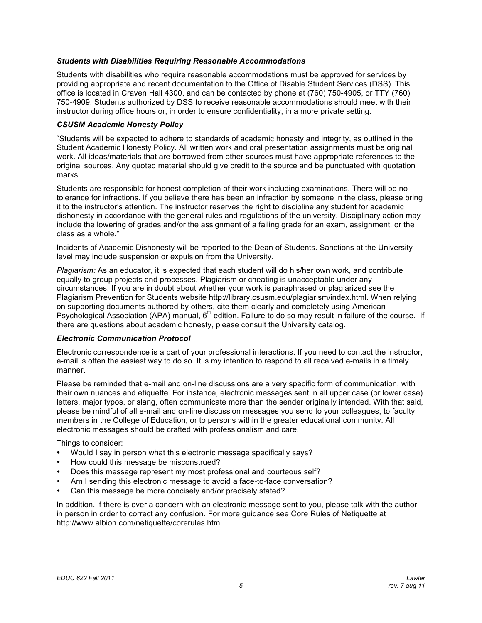### *Students with Disabilities Requiring Reasonable Accommodations*

 Students with disabilities who require reasonable accommodations must be approved for services by providing appropriate and recent documentation to the Office of Disable Student Services (DSS). This office is located in Craven Hall 4300, and can be contacted by phone at (760) 750-4905, or TTY (760) 750-4909. Students authorized by DSS to receive reasonable accommodations should meet with their instructor during office hours or, in order to ensure confidentiality, in a more private setting.

### *CSUSM Academic Honesty Policy*

 "Students will be expected to adhere to standards of academic honesty and integrity, as outlined in the Student Academic Honesty Policy. All written work and oral presentation assignments must be original work. All ideas/materials that are borrowed from other sources must have appropriate references to the original sources. Any quoted material should give credit to the source and be punctuated with quotation marks.

 Students are responsible for honest completion of their work including examinations. There will be no it to the instructor's attention. The instructor reserves the right to discipline any student for academic dishonesty in accordance with the general rules and regulations of the university. Disciplinary action may include the lowering of grades and/or the assignment of a failing grade for an exam, assignment, or the tolerance for infractions. If you believe there has been an infraction by someone in the class, please bring class as a whole."

 level may include suspension or expulsion from the University. Incidents of Academic Dishonesty will be reported to the Dean of Students. Sanctions at the University

 *Plagiarism:* As an educator, it is expected that each student will do his/her own work, and contribute equally to group projects and processes. Plagiarism or cheating is unacceptable under any circumstances. If you are in doubt about whether your work is paraphrased or plagiarized see the Plagiarism Prevention for Students website http://library.csusm.edu/plagiarism/index.html. When relying on supporting documents authored by others, cite them clearly and completely using American Psychological Association (APA) manual, 6<sup>th</sup> edition. Failure to do so may result in failure of the course. If there are questions about academic honesty, please consult the University catalog.

#### *Electronic Communication Protocol*

 Electronic correspondence is a part of your professional interactions. If you need to contact the instructor, e-mail is often the easiest way to do so. It is my intention to respond to all received e-mails in a timely manner.

 Please be reminded that e-mail and on-line discussions are a very specific form of communication, with letters, major typos, or slang, often communicate more than the sender originally intended. With that said, please be mindful of all e-mail and on-line discussion messages you send to your colleagues, to faculty members in the College of Education, or to persons within the greater educational community. All electronic messages should be crafted with professionalism and care. their own nuances and etiquette. For instance, electronic messages sent in all upper case (or lower case)

Things to consider:

- Would I say in person what this electronic message specifically says?
- How could this message be misconstrued?
- Does this message represent my most professional and courteous self?
- Am I sending this electronic message to avoid a face-to-face conversation?
- Can this message be more concisely and/or precisely stated?

 in person in order to correct any confusion. For more guidance see Core Rules of Netiquette at In addition, if there is ever a concern with an electronic message sent to you, please talk with the author http://www.albion.com/netiquette/corerules.html.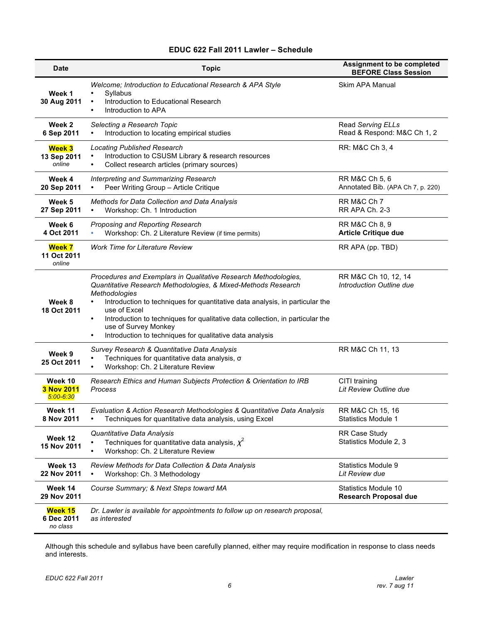#### **EDUC 622 Fall 2011 Lawler – Schedule**

| <b>Date</b>                            | <b>Topic</b>                                                                                                                                                                                                                                                                                                                                                                                                                                                  | <b>Assignment to be completed</b><br><b>BEFORE Class Session</b> |
|----------------------------------------|---------------------------------------------------------------------------------------------------------------------------------------------------------------------------------------------------------------------------------------------------------------------------------------------------------------------------------------------------------------------------------------------------------------------------------------------------------------|------------------------------------------------------------------|
| Week 1<br>30 Aug 2011                  | Welcome; Introduction to Educational Research & APA Style<br>Syllabus<br>$\bullet$<br>Introduction to Educational Research<br>$\bullet$<br>Introduction to APA                                                                                                                                                                                                                                                                                                | Skim APA Manual                                                  |
| Week 2<br>6 Sep 2011                   | Selecting a Research Topic<br>Introduction to locating empirical studies                                                                                                                                                                                                                                                                                                                                                                                      | Read Serving ELLs<br>Read & Respond: M&C Ch 1, 2                 |
| <b>Week 3</b><br>13 Sep 2011<br>online | <b>Locating Published Research</b><br>Introduction to CSUSM Library & research resources<br>Collect research articles (primary sources)<br>$\bullet$                                                                                                                                                                                                                                                                                                          | RR: M&C Ch 3, 4                                                  |
| Week 4<br>20 Sep 2011                  | Interpreting and Summarizing Research<br>Peer Writing Group - Article Critique                                                                                                                                                                                                                                                                                                                                                                                | RR M&C Ch 5, 6<br>Annotated Bib. (APA Ch 7, p. 220)              |
| Week 5<br>27 Sep 2011                  | <b>Methods for Data Collection and Data Analysis</b><br>Workshop: Ch. 1 Introduction<br>$\bullet$                                                                                                                                                                                                                                                                                                                                                             | RR M&C Ch 7<br>RR APA Ch. 2-3                                    |
| Week 6<br>4 Oct 2011                   | Proposing and Reporting Research<br>Workshop: Ch. 2 Literature Review (if time permits)                                                                                                                                                                                                                                                                                                                                                                       | RR M&C Ch 8, 9<br><b>Article Critique due</b>                    |
| <b>Week 7</b><br>11 Oct 2011<br>online | <b>Work Time for Literature Review</b>                                                                                                                                                                                                                                                                                                                                                                                                                        | RR APA (pp. TBD)                                                 |
| Week 8<br>18 Oct 2011                  | Procedures and Exemplars in Qualitative Research Methodologies,<br>Quantitative Research Methodologies, & Mixed-Methods Research<br>Methodologies<br>Introduction to techniques for quantitative data analysis, in particular the<br>$\bullet$<br>use of Excel<br>Introduction to techniques for qualitative data collection, in particular the<br>$\bullet$<br>use of Survey Monkey<br>Introduction to techniques for qualitative data analysis<br>$\bullet$ | RR M&C Ch 10, 12, 14<br>Introduction Outline due                 |
| Week 9<br>25 Oct 2011                  | Survey Research & Quantitative Data Analysis<br>Techniques for quantitative data analysis, o<br>Workshop: Ch. 2 Literature Review                                                                                                                                                                                                                                                                                                                             | RR M&C Ch 11, 13                                                 |
| Week 10<br>3 Nov 2011<br>$5:00 - 6:30$ | Research Ethics and Human Subjects Protection & Orientation to IRB<br>Process                                                                                                                                                                                                                                                                                                                                                                                 | CITI training<br>Lit Review Outline due                          |
| Week 11<br>8 Nov 2011                  | Evaluation & Action Research Methodologies & Quantitative Data Analysis<br>Techniques for quantitative data analysis, using Excel<br>$\bullet$                                                                                                                                                                                                                                                                                                                | RR M&C Ch 15, 16<br><b>Statistics Module 1</b>                   |
| Week 12<br>15 Nov 2011                 | Quantitative Data Analysis<br>Techniques for quantitative data analysis, $\chi^2$<br>Workshop: Ch. 2 Literature Review<br>$\bullet$                                                                                                                                                                                                                                                                                                                           | <b>RR Case Study</b><br>Statistics Module 2.3                    |
| Week 13<br>22 Nov 2011                 | Review Methods for Data Collection & Data Analysis<br>Workshop: Ch. 3 Methodology                                                                                                                                                                                                                                                                                                                                                                             | <b>Statistics Module 9</b><br>Lit Review due                     |
| Week 14<br>29 Nov 2011                 | Course Summary; & Next Steps toward MA                                                                                                                                                                                                                                                                                                                                                                                                                        | Statistics Module 10<br><b>Research Proposal due</b>             |
| Week 15<br>6 Dec 2011<br>no class      | Dr. Lawler is available for appointments to follow up on research proposal,<br>as interested                                                                                                                                                                                                                                                                                                                                                                  |                                                                  |

 Although this schedule and syllabus have been carefully planned, either may require modification in response to class needs and interests.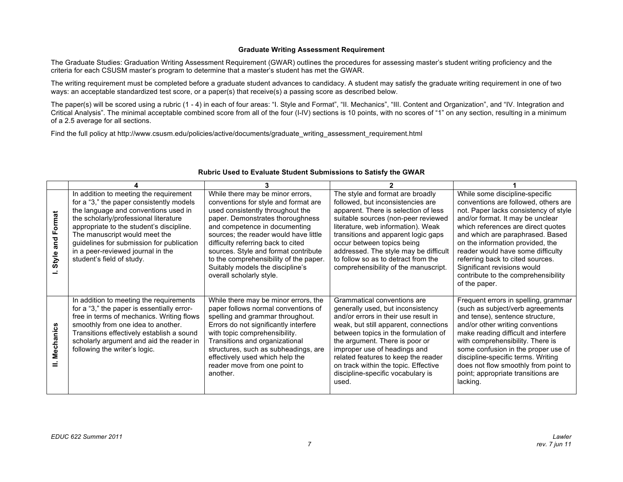#### **Graduate Writing Assessment Requirement**

 The Graduate Studies: Graduation Writing Assessment Requirement (GWAR) outlines the procedures for assessing master's student writing proficiency and the criteria for each CSUSM master's program to determine that a master's student has met the GWAR.

 The writing requirement must be completed before a graduate student advances to candidacy. A student may satisfy the graduate writing requirement in one of two ways: an acceptable standardized test score, or a paper(s) that receive(s) a passing score as described below.

 The paper(s) will be scored using a rubric (1 - 4) in each of four areas: "I. Style and Format", "II. Mechanics", "III. Content and Organization", and "IV. Integration and Critical Analysis". The minimal acceptable combined score from all of the four (I-IV) sections is 10 points, with no scores of "1" on any section, resulting in a minimum of a 2.5 average for all sections.

Find the full policy at http://www.csusm.edu/policies/active/documents/graduate\_writing\_assessment\_requirement.html

| and Format<br>Style | In addition to meeting the requirement<br>for a "3," the paper consistently models<br>the language and conventions used in<br>the scholarly/professional literature<br>appropriate to the student's discipline.<br>The manuscript would meet the<br>guidelines for submission for publication<br>in a peer-reviewed journal in the<br>student's field of study. | While there may be minor errors,<br>conventions for style and format are<br>used consistently throughout the<br>paper. Demonstrates thoroughness<br>and competence in documenting<br>sources; the reader would have little<br>difficulty referring back to cited<br>sources. Style and format contribute<br>to the comprehensibility of the paper.<br>Suitably models the discipline's<br>overall scholarly style. | The style and format are broadly<br>followed, but inconsistencies are<br>apparent. There is selection of less<br>suitable sources (non-peer reviewed<br>literature, web information). Weak<br>transitions and apparent logic gaps<br>occur between topics being<br>addressed. The style may be difficult<br>to follow so as to detract from the<br>comprehensibility of the manuscript.  | While some discipline-specific<br>conventions are followed, others are<br>not. Paper lacks consistency of style<br>and/or format. It may be unclear<br>which references are direct quotes<br>and which are paraphrased. Based<br>on the information provided, the<br>reader would have some difficulty<br>referring back to cited sources.<br>Significant revisions would<br>contribute to the comprehensibility<br>of the paper. |
|---------------------|-----------------------------------------------------------------------------------------------------------------------------------------------------------------------------------------------------------------------------------------------------------------------------------------------------------------------------------------------------------------|--------------------------------------------------------------------------------------------------------------------------------------------------------------------------------------------------------------------------------------------------------------------------------------------------------------------------------------------------------------------------------------------------------------------|------------------------------------------------------------------------------------------------------------------------------------------------------------------------------------------------------------------------------------------------------------------------------------------------------------------------------------------------------------------------------------------|-----------------------------------------------------------------------------------------------------------------------------------------------------------------------------------------------------------------------------------------------------------------------------------------------------------------------------------------------------------------------------------------------------------------------------------|
| Mechanics           | In addition to meeting the requirements<br>for a "3," the paper is essentially error-<br>free in terms of mechanics. Writing flows<br>smoothly from one idea to another.<br>Transitions effectively establish a sound<br>scholarly argument and aid the reader in<br>following the writer's logic.                                                              | While there may be minor errors, the<br>paper follows normal conventions of<br>spelling and grammar throughout.<br>Errors do not significantly interfere<br>with topic comprehensibility.<br>Transitions and organizational<br>structures, such as subheadings, are<br>effectively used which help the<br>reader move from one point to<br>another.                                                                | Grammatical conventions are<br>generally used, but inconsistency<br>and/or errors in their use result in<br>weak, but still apparent, connections<br>between topics in the formulation of<br>the argument. There is poor or<br>improper use of headings and<br>related features to keep the reader<br>on track within the topic. Effective<br>discipline-specific vocabulary is<br>used. | Frequent errors in spelling, grammar<br>(such as subject/verb agreements<br>and tense), sentence structure,<br>and/or other writing conventions<br>make reading difficult and interfere<br>with comprehensibility. There is<br>some confusion in the proper use of<br>discipline-specific terms. Writing<br>does not flow smoothly from point to<br>point; appropriate transitions are<br>lacking.                                |

#### **Rubric Used to Evaluate Student Submissions to Satisfy the GWAR**